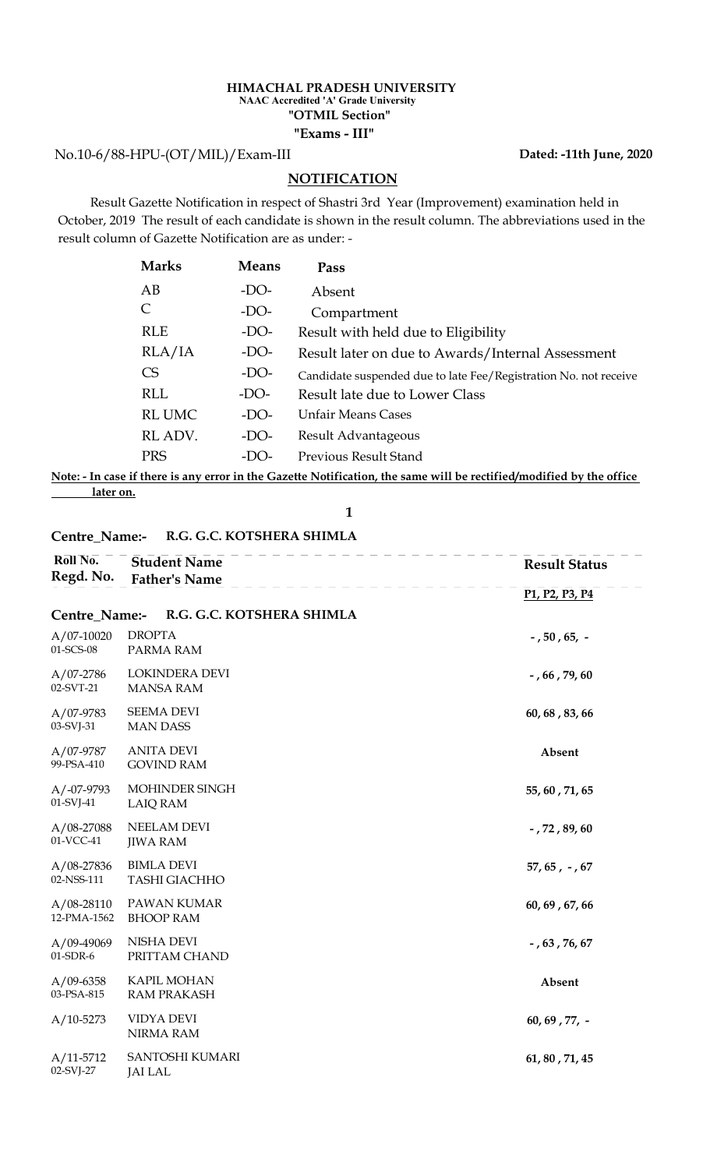#### HIMACHAL PRADESH UNIVERSITY "Exams - III" "OTMIL Section" NAAC Accredited 'A' Grade University

No.10-6/88-HPU-(OT/MIL)/Exam-III

### **NOTIFICATION**

 Result Gazette Notification in respect of Shastri 3rd Year (Improvement) examination held in October, 2019 The result of each candidate is shown in the result column. The abbreviations used in the result column of Gazette Notification are as under: -

|                                         |              | <b>HIMACHAL PRADESH UNIVERSITY</b><br><b>NAAC Accredited 'A' Grade University</b><br>"OTMIL Section"<br>"Exams - III"                                                             |
|-----------------------------------------|--------------|-----------------------------------------------------------------------------------------------------------------------------------------------------------------------------------|
| IPU-(OT/MIL)/Exam-III                   |              | Dated: -11th June, 2020                                                                                                                                                           |
|                                         |              | <b>NOTIFICATION</b>                                                                                                                                                               |
| of Gazette Notification are as under: - |              | azette Notification in respect of Shastri 3rd Year (Improvement) examination held in<br>The result of each candidate is shown in the result column. The abbreviations used in the |
| <b>Marks</b>                            | <b>Means</b> | Pass                                                                                                                                                                              |
| AB                                      | $-DO-$       | Absent                                                                                                                                                                            |
|                                         |              |                                                                                                                                                                                   |
| $\mathsf{C}$                            | $-DO-$       | Compartment                                                                                                                                                                       |
| <b>RLE</b>                              | $-DO-$       | Result with held due to Eligibility                                                                                                                                               |
| RLA/IA                                  | $-DO-$       | Result later on due to Awards/Internal Assessment                                                                                                                                 |
| <b>CS</b>                               | $-DO-$       | Candidate suspended due to late Fee/Registration No. not receive                                                                                                                  |
| <b>RLL</b>                              | $-DO-$       | Result late due to Lower Class                                                                                                                                                    |
| <b>RL UMC</b>                           | $-DO-$       | <b>Unfair Means Cases</b>                                                                                                                                                         |
| RL ADV.                                 | $-DO-$       | Result Advantageous                                                                                                                                                               |
| <b>PRS</b>                              | $-DO-$       | Previous Result Stand                                                                                                                                                             |

Note: - In case if there is any error in the Gazette Notification, the same will be rectified/modified by the office later on.

#### Centre\_Name:- R.G. G.C. KOTSHERA SHIMLA

| Roll No.<br>Regd. No.         | <b>Student Name</b><br><b>Father's Name</b> | <b>Result Status</b>                                              |
|-------------------------------|---------------------------------------------|-------------------------------------------------------------------|
|                               |                                             | P <sub>1</sub> , P <sub>2</sub> , P <sub>3</sub> , P <sub>4</sub> |
| Centre_Name:-                 | R.G. G.C. KOTSHERA SHIMLA                   |                                                                   |
| $A/07-10020$<br>01-SCS-08     | <b>DROPTA</b><br>PARMA RAM                  | $-$ , 50, 65, $-$                                                 |
| $A/07-2786$<br>02-SVT-21      | LOKINDERA DEVI<br><b>MANSA RAM</b>          | $-$ , 66, 79, 60                                                  |
| $A/07-9783$<br>03-SVJ-31      | <b>SEEMA DEVI</b><br><b>MAN DASS</b>        | 60, 68, 83, 66                                                    |
| A/07-9787<br>99-PSA-410       | <b>ANITA DEVI</b><br><b>GOVIND RAM</b>      | Absent                                                            |
| $A/-07-9793$<br>01-SVJ-41     | MOHINDER SINGH<br><b>LAIQ RAM</b>           | 55, 60, 71, 65                                                    |
| $A/08-27088$<br>01-VCC-41     | NEELAM DEVI<br><b>JIWA RAM</b>              | $-$ , 72, 89, 60                                                  |
| $A/08-27836$<br>02-NSS-111    | <b>BIMLA DEVI</b><br><b>TASHI GIACHHO</b>   | $57, 65, -, 67$                                                   |
| $A/08 - 28110$<br>12-PMA-1562 | PAWAN KUMAR<br><b>BHOOP RAM</b>             | 60, 69, 67, 66                                                    |
| A/09-49069<br>01-SDR-6        | <b>NISHA DEVI</b><br>PRITTAM CHAND          | $-$ , 63, 76, 67                                                  |
| $A/09 - 6358$<br>03-PSA-815   | <b>KAPIL MOHAN</b><br><b>RAM PRAKASH</b>    | Absent                                                            |
| $A/10-5273$                   | VIDYA DEVI<br><b>NIRMA RAM</b>              | $60, 69, 77, -$                                                   |
| $A/11-5712$<br>02-SVJ-27      | SANTOSHI KUMARI<br><b>JAI LAL</b>           | 61, 80, 71, 45                                                    |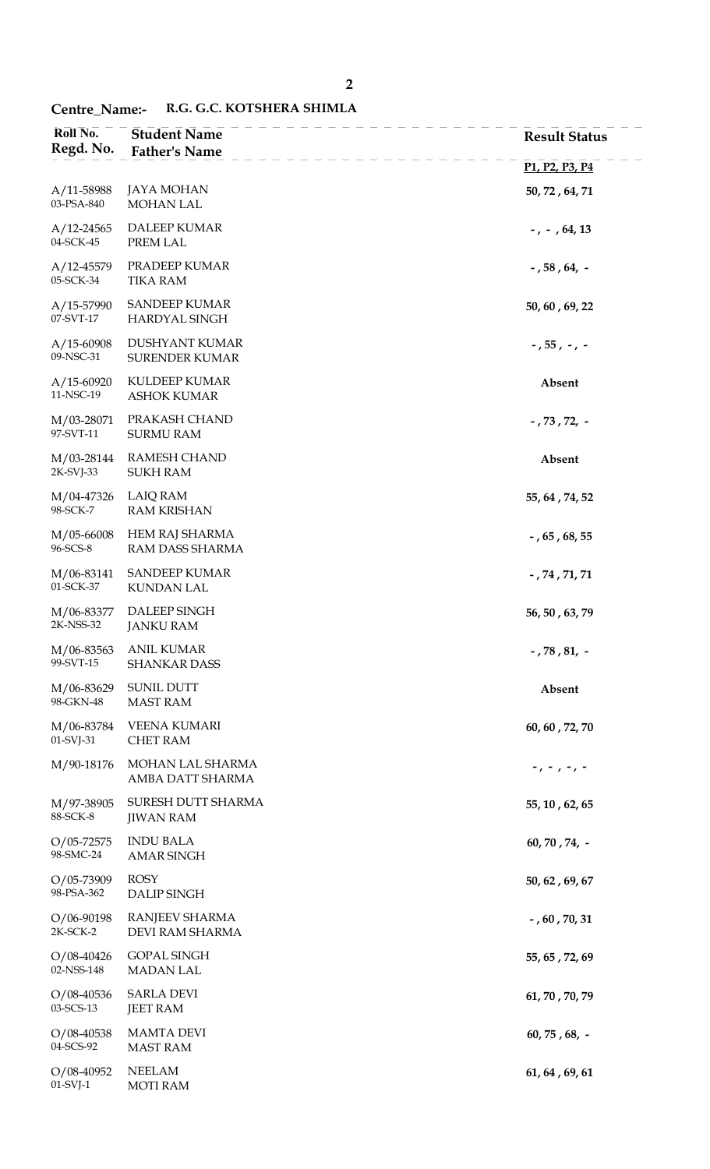## Centre\_Name:- R.G. G.C. KOTSHERA SHIMLA

| Roll No.<br>Regd. No.        | <b>Student Name</b><br><b>Father's Name</b>  | <b>Result Status</b>                                              |
|------------------------------|----------------------------------------------|-------------------------------------------------------------------|
|                              |                                              | P <sub>1</sub> , P <sub>2</sub> , P <sub>3</sub> , P <sub>4</sub> |
| $A/11 - 58988$<br>03-PSA-840 | <b>JAYA MOHAN</b><br><b>MOHAN LAL</b>        | 50, 72, 64, 71                                                    |
| $A/12 - 24565$<br>04-SCK-45  | DALEEP KUMAR<br>PREM LAL                     | $-$ , $-$ , 64, 13                                                |
| $A/12 - 45579$<br>05-SCK-34  | PRADEEP KUMAR<br><b>TIKA RAM</b>             | $-$ , 58 , 64, $-$                                                |
| $A/15 - 57990$<br>07-SVT-17  | <b>SANDEEP KUMAR</b><br>HARDYAL SINGH        | 50, 60, 69, 22                                                    |
| $A/15 - 60908$<br>09-NSC-31  | DUSHYANT KUMAR<br><b>SURENDER KUMAR</b>      | $-$ , 55 , $-$ , $-$                                              |
| $A/15-60920$<br>11-NSC-19    | KULDEEP KUMAR<br><b>ASHOK KUMAR</b>          | Absent                                                            |
| M/03-28071<br>97-SVT-11      | PRAKASH CHAND<br><b>SURMU RAM</b>            | $-73772.$                                                         |
| M/03-28144<br>2K-SVJ-33      | <b>RAMESH CHAND</b><br><b>SUKH RAM</b>       | Absent                                                            |
| M/04-47326<br>98-SCK-7       | <b>LAIQ RAM</b><br><b>RAM KRISHAN</b>        | 55, 64, 74, 52                                                    |
| M/05-66008<br>96-SCS-8       | HEM RAJ SHARMA<br>RAM DASS SHARMA            | $-$ , 65 , 68, 55                                                 |
| M/06-83141<br>01-SCK-37      | <b>SANDEEP KUMAR</b><br><b>KUNDAN LAL</b>    | $-$ , 74 , 71, 71                                                 |
| M/06-83377<br>$2K-NSS-32$    | DALEEP SINGH<br><b>JANKU RAM</b>             | 56, 50, 63, 79                                                    |
| 99-SVT-15                    | M/06-83563 ANIL KUMAR<br><b>SHANKAR DASS</b> | $-$ , 78 , 81, $-$                                                |
| M/06-83629<br>98-GKN-48      | <b>SUNIL DUTT</b><br><b>MAST RAM</b>         | Absent                                                            |
| M/06-83784<br>01-SVJ-31      | <b>VEENA KUMARI</b><br>CHET RAM              | 60, 60, 72, 70                                                    |
| M/90-18176                   | MOHAN LAL SHARMA<br>AMBA DATT SHARMA         | $-$ , $-$ , $-$ , $-$                                             |
| M/97-38905<br>88-SCK-8       | SURESH DUTT SHARMA<br><b>JIWAN RAM</b>       | 55, 10, 62, 65                                                    |
| $O/05 - 72575$<br>98-SMC-24  | <b>INDU BALA</b><br><b>AMAR SINGH</b>        | $60, 70, 74, -$                                                   |
| $O/05 - 73909$<br>98-PSA-362 | <b>ROSY</b><br>DALIP SINGH                   | 50, 62, 69, 67                                                    |
| $O/06 - 90198$<br>$2K-SCK-2$ | RANJEEV SHARMA<br>DEVI RAM SHARMA            | - , $60$ , $70$ , $31$                                            |
| $O/08-40426$<br>02-NSS-148   | <b>GOPAL SINGH</b><br><b>MADAN LAL</b>       | 55, 65, 72, 69                                                    |
| $O/08 - 40536$<br>03-SCS-13  | <b>SARLA DEVI</b><br><b>JEET RAM</b>         | 61, 70, 70, 79                                                    |
| $O/08-40538$<br>04-SCS-92    | <b>MAMTA DEVI</b><br><b>MAST RAM</b>         | $60, 75, 68, -$                                                   |
| $O/08-40952$<br>$01-SVI-1$   | <b>NEELAM</b><br><b>MOTI RAM</b>             | 61, 64, 69, 61                                                    |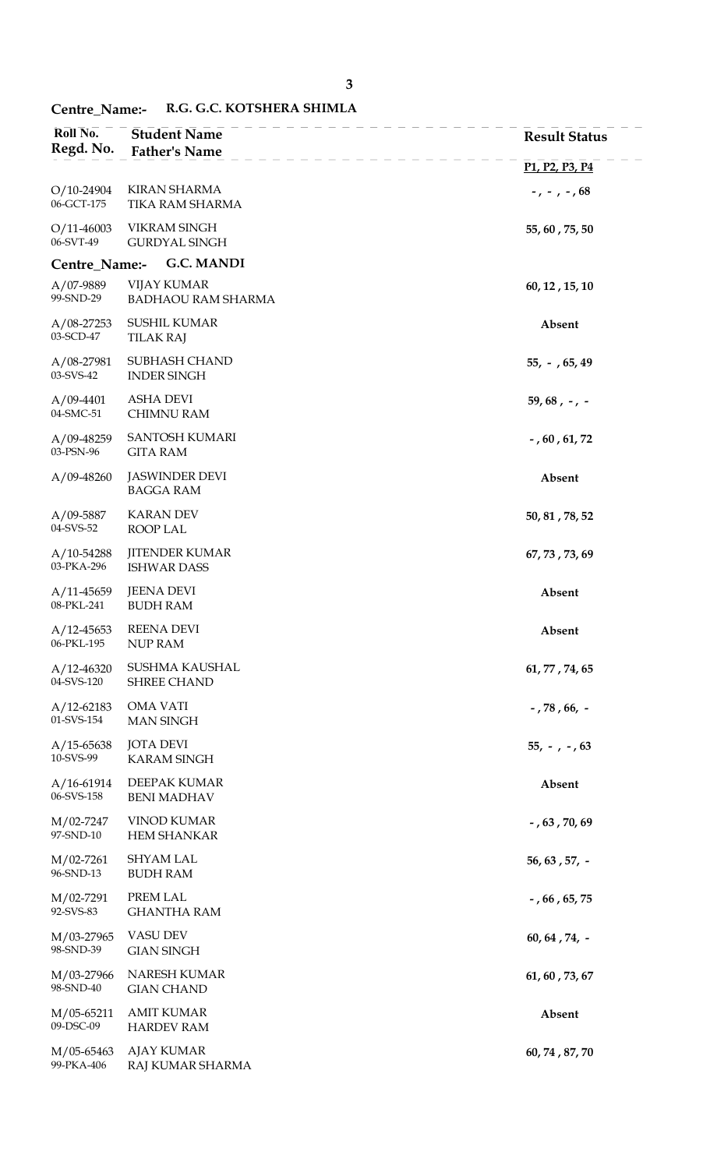## Centre\_Name:- R.G. G.C. KOTSHERA SHIMLA

| Roll No.<br>Regd. No.        | <b>Student Name</b><br><b>Father's Name</b>     | <b>Result Status</b>                                              |
|------------------------------|-------------------------------------------------|-------------------------------------------------------------------|
|                              |                                                 | P <sub>1</sub> , P <sub>2</sub> , P <sub>3</sub> , P <sub>4</sub> |
| $O/10-24904$<br>06-GCT-175   | <b>KIRAN SHARMA</b><br>TIKA RAM SHARMA          | $-$ , $-$ , $-$ , $68$                                            |
| $O/11-46003$<br>06-SVT-49    | <b>VIKRAM SINGH</b><br><b>GURDYAL SINGH</b>     | 55, 60, 75, 50                                                    |
| Centre_Name:-                | <b>G.C. MANDI</b>                               |                                                                   |
| A/07-9889<br>99-SND-29       | <b>VIJAY KUMAR</b><br><b>BADHAOU RAM SHARMA</b> | 60, 12, 15, 10                                                    |
| $A/08-27253$<br>03-SCD-47    | <b>SUSHIL KUMAR</b><br><b>TILAK RAJ</b>         | Absent                                                            |
| $A/08-27981$<br>03-SVS-42    | SUBHASH CHAND<br><b>INDER SINGH</b>             | $55, -765, 49$                                                    |
| $A/09-4401$<br>04-SMC-51     | <b>ASHA DEVI</b><br><b>CHIMNU RAM</b>           | $59,68, -7$                                                       |
| $A/09-48259$<br>03-PSN-96    | <b>SANTOSH KUMARI</b><br><b>GITA RAM</b>        | $-$ , 60, 61, 72                                                  |
| $A/09-48260$                 | <b>JASWINDER DEVI</b><br><b>BAGGA RAM</b>       | Absent                                                            |
| $A/09 - 5887$<br>04-SVS-52   | <b>KARAN DEV</b><br>ROOP LAL                    | 50, 81, 78, 52                                                    |
| $A/10-54288$<br>03-PKA-296   | <b>JITENDER KUMAR</b><br><b>ISHWAR DASS</b>     | 67, 73, 73, 69                                                    |
| $A/11-45659$<br>08-PKL-241   | <b>JEENA DEVI</b><br><b>BUDH RAM</b>            | Absent                                                            |
| $A/12 - 45653$<br>06-PKL-195 | <b>REENA DEVI</b><br>NUP RAM                    | Absent                                                            |
| $A/12 - 46320$<br>04-SVS-120 | SUSHMA KAUSHAL<br><b>SHREE CHAND</b>            | 61, 77, 74, 65                                                    |
| $A/12-62183$<br>01-SVS-154   | <b>OMA VATI</b><br><b>MAN SINGH</b>             | $-$ , 78 , 66, $-$                                                |
| $A/15 - 65638$<br>10-SVS-99  | <b>JOTA DEVI</b><br><b>KARAM SINGH</b>          | $55, -7.63$                                                       |
| $A/16-61914$<br>06-SVS-158   | DEEPAK KUMAR<br><b>BENI MADHAV</b>              | Absent                                                            |
| M/02-7247<br>97-SND-10       | <b>VINOD KUMAR</b><br><b>HEM SHANKAR</b>        | $-$ , 63, 70, 69                                                  |
| $M/02-7261$<br>96-SND-13     | <b>SHYAM LAL</b><br><b>BUDH RAM</b>             | $56, 63, 57, -$                                                   |
| $M/02-7291$<br>92-SVS-83     | PREM LAL<br><b>GHANTHA RAM</b>                  | $-$ , 66, 65, 75                                                  |
| M/03-27965<br>98-SND-39      | <b>VASU DEV</b><br><b>GIAN SINGH</b>            | $60, 64, 74, -$                                                   |
| M/03-27966<br>98-SND-40      | NARESH KUMAR<br><b>GIAN CHAND</b>               | 61, 60, 73, 67                                                    |
| $M/05-65211$<br>09-DSC-09    | <b>AMIT KUMAR</b><br><b>HARDEV RAM</b>          | Absent                                                            |
| M/05-65463<br>99-PKA-406     | <b>AJAY KUMAR</b><br>RAJ KUMAR SHARMA           | 60, 74, 87, 70                                                    |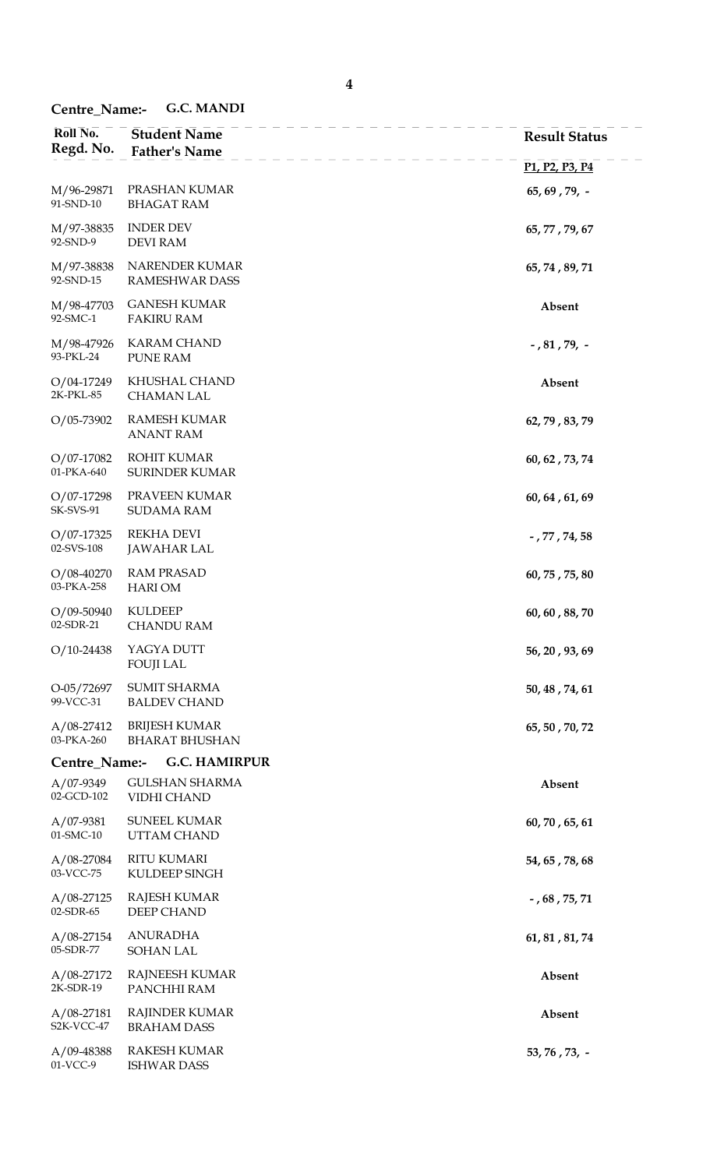Centre\_Name:- G.C. MANDI

| Roll No.<br>Regd. No.              | <b>Student Name</b><br><b>Father's Name</b>   | <b>Result Status</b>                                              |
|------------------------------------|-----------------------------------------------|-------------------------------------------------------------------|
|                                    |                                               | P <sub>1</sub> , P <sub>2</sub> , P <sub>3</sub> , P <sub>4</sub> |
| M/96-29871<br>91-SND-10            | PRASHAN KUMAR<br><b>BHAGAT RAM</b>            | $65, 69, 79, -$                                                   |
| M/97-38835<br>92-SND-9             | <b>INDER DEV</b><br><b>DEVI RAM</b>           | 65, 77, 79, 67                                                    |
| M/97-38838<br>92-SND-15            | NARENDER KUMAR<br><b>RAMESHWAR DASS</b>       | 65, 74, 89, 71                                                    |
| M/98-47703<br>92-SMC-1             | <b>GANESH KUMAR</b><br><b>FAKIRU RAM</b>      | Absent                                                            |
| M/98-47926<br>93-PKL-24            | <b>KARAM CHAND</b><br><b>PUNE RAM</b>         | $-$ , 81 , 79, $-$                                                |
| $O/04-17249$<br>2K-PKL-85          | KHUSHAL CHAND<br><b>CHAMAN LAL</b>            | Absent                                                            |
| $O/05 - 73902$                     | <b>RAMESH KUMAR</b><br><b>ANANT RAM</b>       | 62, 79, 83, 79                                                    |
| $O/07-17082$<br>01-PKA-640         | <b>ROHIT KUMAR</b><br><b>SURINDER KUMAR</b>   | 60, 62, 73, 74                                                    |
| $O/07 - 17298$<br><b>SK-SVS-91</b> | PRAVEEN KUMAR<br><b>SUDAMA RAM</b>            | 60, 64, 61, 69                                                    |
| $O/07 - 17325$<br>02-SVS-108       | <b>REKHA DEVI</b><br><b>JAWAHAR LAL</b>       | $-$ , 77 , 74, 58                                                 |
| $O/08-40270$<br>03-PKA-258         | <b>RAM PRASAD</b><br><b>HARIOM</b>            | 60, 75, 75, 80                                                    |
| $O/09 - 50940$<br>02-SDR-21        | <b>KULDEEP</b><br><b>CHANDU RAM</b>           | 60, 60, 88, 70                                                    |
| $O/10-24438$                       | YAGYA DUTT<br><b>FOUJI LAL</b>                | 56, 20, 93, 69                                                    |
| O-05/72697<br>99-VCC-31            | <b>SUMIT SHARMA</b><br><b>BALDEV CHAND</b>    | 50, 48, 74, 61                                                    |
| $A/08-27412$<br>03-PKA-260         | <b>BRIJESH KUMAR</b><br><b>BHARAT BHUSHAN</b> | 65, 50, 70, 72                                                    |
| Centre_Name:-                      | <b>G.C. HAMIRPUR</b>                          |                                                                   |
| $A/07-9349$<br>02-GCD-102          | <b>GULSHAN SHARMA</b><br>VIDHI CHAND          | Absent                                                            |
| $A/07-9381$<br>01-SMC-10           | SUNEEL KUMAR<br>UTTAM CHAND                   | 60, 70, 65, 61                                                    |
| $A/08-27084$<br>03-VCC-75          | <b>RITU KUMARI</b><br>KULDEEP SINGH           | 54, 65, 78, 68                                                    |
| $A/08-27125$<br>02-SDR-65          | <b>RAJESH KUMAR</b><br>DEEP CHAND             | $-$ , 68 , 75, 71                                                 |
| $A/08-27154$<br>05-SDR-77          | <b>ANURADHA</b><br><b>SOHAN LAL</b>           | 61, 81, 81, 74                                                    |
| $A/08-27172$<br>2K-SDR-19          | <b>RAJNEESH KUMAR</b><br>PANCHHI RAM          | Absent                                                            |
| $A/08-27181$<br>S2K-VCC-47         | <b>RAJINDER KUMAR</b><br><b>BRAHAM DASS</b>   | Absent                                                            |
| A/09-48388<br>01-VCC-9             | <b>RAKESH KUMAR</b><br><b>ISHWAR DASS</b>     | 53, 76, 73, -                                                     |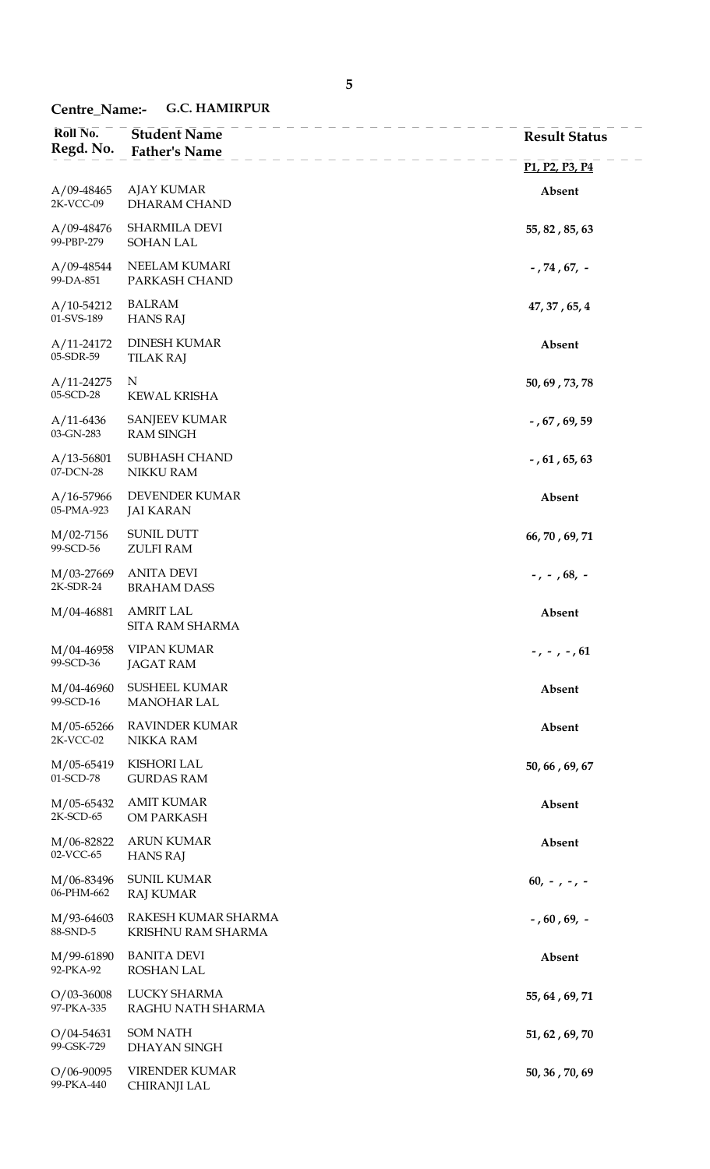# Centre\_Name:- G.C. HAMIRPUR

| Roll No.<br>Regd. No.        | <b>Student Name</b><br><b>Father's Name</b> | <b>Result Status</b>                                              |
|------------------------------|---------------------------------------------|-------------------------------------------------------------------|
|                              |                                             | P <sub>1</sub> , P <sub>2</sub> , P <sub>3</sub> , P <sub>4</sub> |
| $A/09-48465$<br>2K-VCC-09    | <b>AJAY KUMAR</b><br>DHARAM CHAND           | Absent                                                            |
| $A/09-48476$<br>99-PBP-279   | <b>SHARMILA DEVI</b><br>SOHAN LAL           | 55, 82, 85, 63                                                    |
| $A/09-48544$<br>99-DA-851    | NEELAM KUMARI<br>PARKASH CHAND              | $-$ , 74 , 67, $-$                                                |
| $A/10-54212$<br>01-SVS-189   | <b>BALRAM</b><br><b>HANS RAJ</b>            | 47, 37, 65, 4                                                     |
| $A/11-24172$<br>05-SDR-59    | <b>DINESH KUMAR</b><br><b>TILAK RAJ</b>     | Absent                                                            |
| $A/11-24275$<br>05-SCD-28    | N<br><b>KEWAL KRISHA</b>                    | 50, 69, 73, 78                                                    |
| $A/11-6436$<br>03-GN-283     | <b>SANJEEV KUMAR</b><br><b>RAM SINGH</b>    | $-$ , 67, 69, 59                                                  |
| $A/13 - 56801$<br>07-DCN-28  | <b>SUBHASH CHAND</b><br>NIKKU RAM           | $-$ , 61, 65, 63                                                  |
| $A/16 - 57966$<br>05-PMA-923 | DEVENDER KUMAR<br><b>JAI KARAN</b>          | Absent                                                            |
| $M/02-7156$<br>99-SCD-56     | <b>SUNIL DUTT</b><br><b>ZULFI RAM</b>       | 66, 70, 69, 71                                                    |
| M/03-27669<br>2K-SDR-24      | <b>ANITA DEVI</b><br><b>BRAHAM DASS</b>     | $-$ , $-$ , 68, $-$                                               |
| M/04-46881                   | <b>AMRIT LAL</b><br>SITA RAM SHARMA         | Absent                                                            |
| M/04-46958<br>99-SCD-36      | <b>VIPAN KUMAR</b><br><b>JAGAT RAM</b>      | $-$ , $-$ , $-$ , 61                                              |
| M/04-46960<br>99-SCD-16      | <b>SUSHEEL KUMAR</b><br><b>MANOHAR LAL</b>  | Absent                                                            |
| M/05-65266<br>2K-VCC-02      | <b>RAVINDER KUMAR</b><br><b>NIKKA RAM</b>   | Absent                                                            |
| M/05-65419<br>01-SCD-78      | <b>KISHORI LAL</b><br><b>GURDAS RAM</b>     | 50, 66, 69, 67                                                    |
| M/05-65432<br>2K-SCD-65      | <b>AMIT KUMAR</b><br>OM PARKASH             | Absent                                                            |
| M/06-82822<br>02-VCC-65      | <b>ARUN KUMAR</b><br><b>HANS RAJ</b>        | Absent                                                            |
| M/06-83496<br>06-PHM-662     | <b>SUNIL KUMAR</b><br><b>RAJ KUMAR</b>      | $60, -7 -7 -$                                                     |
| M/93-64603<br>88-SND-5       | RAKESH KUMAR SHARMA<br>KRISHNU RAM SHARMA   | $-$ , 60 , 69, $-$                                                |
| M/99-61890<br>92-PKA-92      | <b>BANITA DEVI</b><br>ROSHAN LAL            | Absent                                                            |
| $O/03 - 36008$<br>97-PKA-335 | LUCKY SHARMA<br>RAGHU NATH SHARMA           | 55, 64, 69, 71                                                    |
| $O/04 - 54631$<br>99-GSK-729 | <b>SOM NATH</b><br>DHAYAN SINGH             | 51, 62, 69, 70                                                    |
| $O/06 - 90095$<br>99-PKA-440 | VIRENDER KUMAR<br>CHIRANJI LAL              | 50, 36, 70, 69                                                    |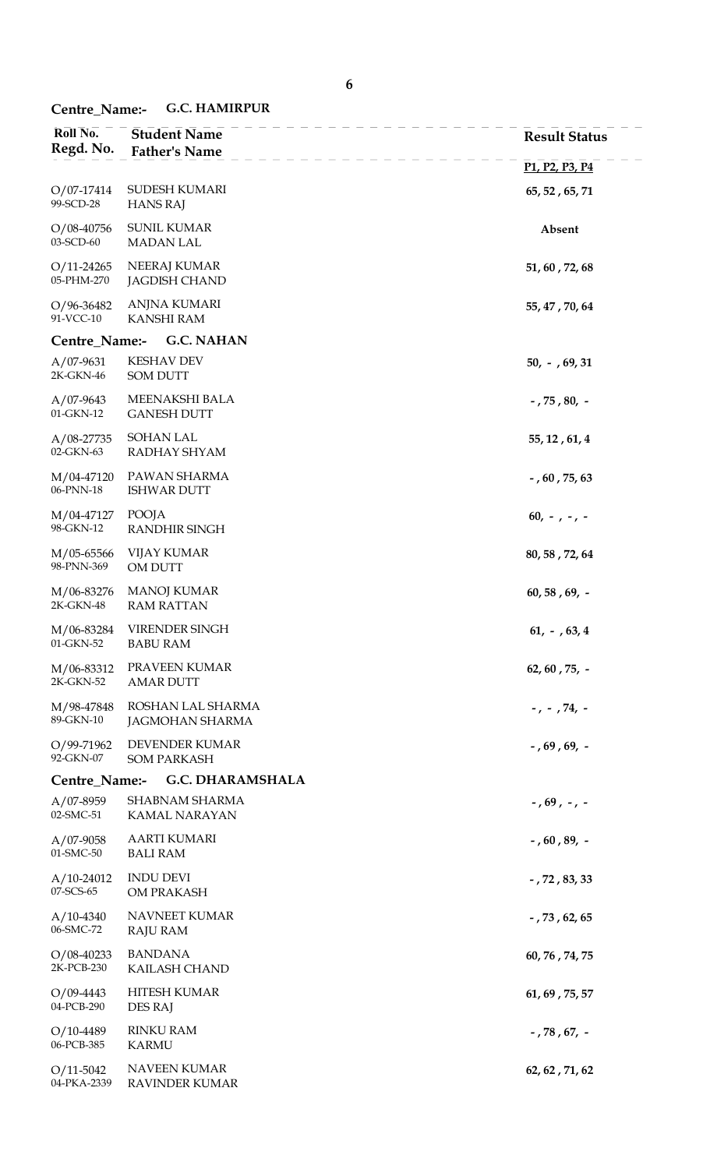04-PKA-2339

RAVINDER KUMAR

| Roll No.<br>Regd. No.    | <b>Student Name</b><br><b>Father's Name</b> | <b>Result Status</b>                                              |
|--------------------------|---------------------------------------------|-------------------------------------------------------------------|
|                          |                                             | P <sub>1</sub> , P <sub>2</sub> , P <sub>3</sub> , P <sub>4</sub> |
| O/07-17414<br>99-SCD-28  | SUDESH KUMARI<br><b>HANS RAJ</b>            | 65, 52, 65, 71                                                    |
| O/08-40756<br>03-SCD-60  | <b>SUNIL KUMAR</b><br><b>MADAN LAL</b>      | Absent                                                            |
| O/11-24265<br>05-PHM-270 | NEERAJ KUMAR<br><b>JAGDISH CHAND</b>        | 51, 60, 72, 68                                                    |
| O/96-36482<br>91-VCC-10  | <b>ANJNA KUMARI</b><br><b>KANSHI RAM</b>    | 55, 47, 70, 64                                                    |
| Centre_Name:-            | <b>G.C. NAHAN</b>                           |                                                                   |
| $A/07-9631$<br>2K-GKN-46 | <b>KESHAV DEV</b><br><b>SOM DUTT</b>        | $50, -7, 69, 31$                                                  |
| A/07-9643<br>01-GKN-12   | MEENAKSHI BALA<br><b>GANESH DUTT</b>        | $-75, 80, -$                                                      |
| A/08-27735<br>02-GKN-63  | <b>SOHAN LAL</b><br>RADHAY SHYAM            | 55, 12, 61, 4                                                     |
| M/04-47120<br>06-PNN-18  | PAWAN SHARMA<br><b>ISHWAR DUTT</b>          | $-$ , 60, 75, 63                                                  |
| M/04-47127<br>98-GKN-12  | POOJA<br><b>RANDHIR SINGH</b>               | $60, -, -, -$                                                     |
| M/05-65566<br>98-PNN-369 | <b>VIJAY KUMAR</b><br>OM DUTT               | 80, 58, 72, 64                                                    |
| M/06-83276<br>2K-GKN-48  | <b>MANOJ KUMAR</b><br><b>RAM RATTAN</b>     | $60, 58, 69, -$                                                   |
| M/06-83284<br>01-GKN-52  | VIRENDER SINGH<br><b>BABU RAM</b>           | $61, -763, 4$                                                     |
| M/06-83312<br>2K-GKN-52  | PRAVEEN KUMAR<br><b>AMAR DUTT</b>           | 62, 60, 75, $-$                                                   |
| M/98-47848<br>89-GKN-10  | ROSHAN LAL SHARMA<br><b>JAGMOHAN SHARMA</b> | $-$ , $-$ , 74, $-$                                               |
| O/99-71962<br>92-GKN-07  | <b>DEVENDER KUMAR</b><br><b>SOM PARKASH</b> | $-$ , 69, 69, $-$                                                 |
| Centre_Name:-            | <b>G.C. DHARAMSHALA</b>                     |                                                                   |
| A/07-8959<br>02-SMC-51   | SHABNAM SHARMA<br>KAMAL NARAYAN             | $-$ , 69, $-$ , $-$                                               |
| A/07-9058<br>01-SMC-50   | <b>AARTI KUMARI</b><br><b>BALI RAM</b>      | $-$ , 60, 89, $-$                                                 |
| A/10-24012<br>07-SCS-65  | <b>INDU DEVI</b><br>OM PRAKASH              | $-72, 83, 33$                                                     |
| $A/10-4340$<br>06-SMC-72 | NAVNEET KUMAR<br>RAJU RAM                   | $-$ , 73, 62, 65                                                  |
| O/08-40233<br>2K-PCB-230 | <b>BANDANA</b><br>KAILASH CHAND             | 60, 76, 74, 75                                                    |
| O/09-4443<br>04-PCB-290  | <b>HITESH KUMAR</b><br>DES RAJ              | 61, 69, 75, 57                                                    |
| O/10-4489<br>06-PCB-385  | <b>RINKU RAM</b><br><b>KARMU</b>            | $-$ , 78 , 67, $-$                                                |
| $O/11 - 5042$            | NAVEEN KUMAR                                | 62, 62, 71, 62                                                    |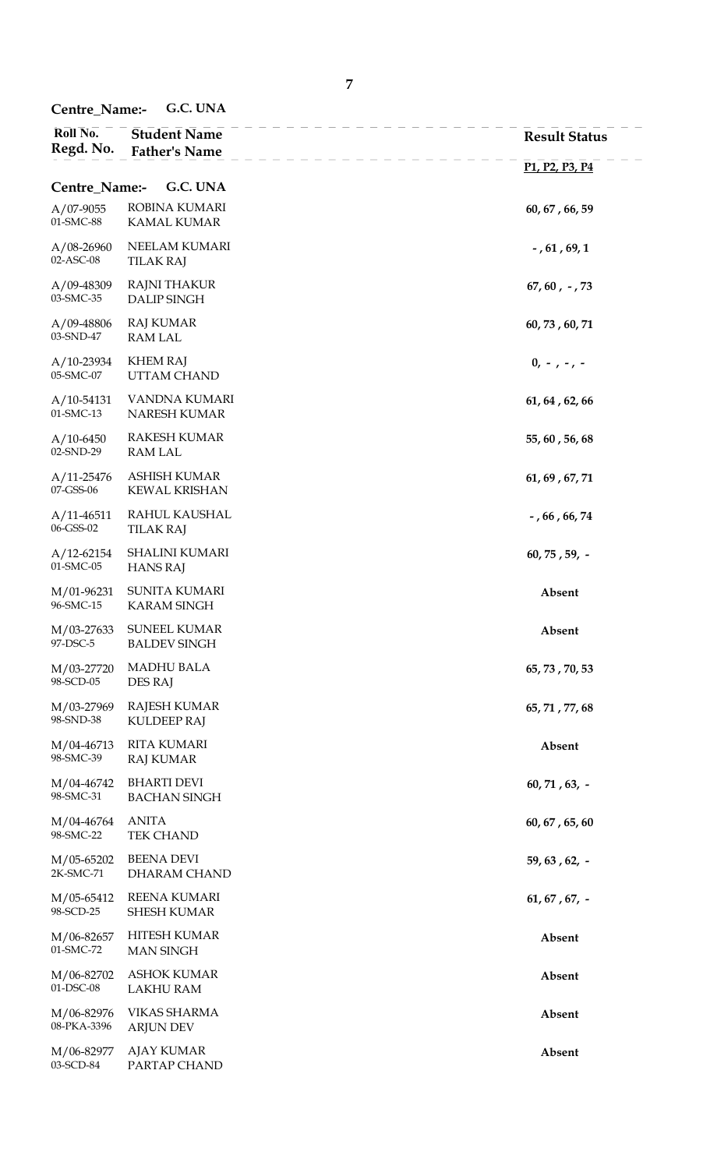Centre\_Name:- G.C. UNA

| Roll No.<br>Regd. No.       | <b>Student Name</b><br><b>Father's Name</b> | <b>Result Status</b>                                              |  |
|-----------------------------|---------------------------------------------|-------------------------------------------------------------------|--|
|                             |                                             | P <sub>1</sub> , P <sub>2</sub> , P <sub>3</sub> , P <sub>4</sub> |  |
| G.C. UNA<br>Centre_Name:-   |                                             |                                                                   |  |
| $A/07-9055$<br>01-SMC-88    | ROBINA KUMARI<br>KAMAL KUMAR                | 60, 67, 66, 59                                                    |  |
| $A/08-26960$<br>02-ASC-08   | NEELAM KUMARI<br><b>TILAK RAJ</b>           | $-$ , 61 , 69, 1                                                  |  |
| $A/09-48309$<br>03-SMC-35   | RAJNI THAKUR<br><b>DALIP SINGH</b>          | $67, 60, -73$                                                     |  |
| $A/09-48806$<br>03-SND-47   | <b>RAJ KUMAR</b><br><b>RAM LAL</b>          | 60, 73, 60, 71                                                    |  |
| $A/10-23934$<br>05-SMC-07   | <b>KHEM RAJ</b><br>UTTAM CHAND              | $0, -, -, -$                                                      |  |
| $A/10-54131$<br>01-SMC-13   | VANDNA KUMARI<br>NARESH KUMAR               | 61, 64, 62, 66                                                    |  |
| $A/10-6450$<br>02-SND-29    | <b>RAKESH KUMAR</b><br><b>RAM LAL</b>       | 55, 60, 56, 68                                                    |  |
| $A/11 - 25476$<br>07-GSS-06 | <b>ASHISH KUMAR</b><br><b>KEWAL KRISHAN</b> | 61, 69, 67, 71                                                    |  |
| $A/11-46511$<br>06-GSS-02   | RAHUL KAUSHAL<br><b>TILAK RAJ</b>           | $-$ , 66, 66, 74                                                  |  |
| $A/12 - 62154$<br>01-SMC-05 | <b>SHALINI KUMARI</b><br><b>HANS RAJ</b>    | $60, 75, 59, -$                                                   |  |
| M/01-96231<br>96-SMC-15     | <b>SUNITA KUMARI</b><br><b>KARAM SINGH</b>  | Absent                                                            |  |
| M/03-27633<br>97-DSC-5      | <b>SUNEEL KUMAR</b><br><b>BALDEV SINGH</b>  | Absent                                                            |  |
| M/03-27720<br>98-SCD-05     | <b>MADHU BALA</b><br><b>DES RAJ</b>         | 65, 73, 70, 53                                                    |  |
| M/03-27969<br>98-SND-38     | <b>RAJESH KUMAR</b><br><b>KULDEEP RAJ</b>   | 65, 71, 77, 68                                                    |  |
| M/04-46713<br>98-SMC-39     | <b>RITA KUMARI</b><br><b>RAJ KUMAR</b>      | Absent                                                            |  |
| M/04-46742<br>98-SMC-31     | <b>BHARTI DEVI</b><br><b>BACHAN SINGH</b>   | $60, 71, 63, -$                                                   |  |
| M/04-46764<br>98-SMC-22     | <b>ANITA</b><br>TEK CHAND                   | 60, 67, 65, 60                                                    |  |
| M/05-65202<br>2K-SMC-71     | <b>BEENA DEVI</b><br>DHARAM CHAND           | $59, 63, 62, -$                                                   |  |
| M/05-65412<br>98-SCD-25     | <b>REENA KUMARI</b><br><b>SHESH KUMAR</b>   | $61, 67, 67, -$                                                   |  |
| M/06-82657<br>01-SMC-72     | HITESH KUMAR<br><b>MAN SINGH</b>            | Absent                                                            |  |
| M/06-82702<br>01-DSC-08     | <b>ASHOK KUMAR</b><br><b>LAKHU RAM</b>      | Absent                                                            |  |
| M/06-82976<br>08-PKA-3396   | <b>VIKAS SHARMA</b><br><b>ARJUN DEV</b>     | Absent                                                            |  |
| M/06-82977<br>03-SCD-84     | AJAY KUMAR<br>PARTAP CHAND                  | Absent                                                            |  |